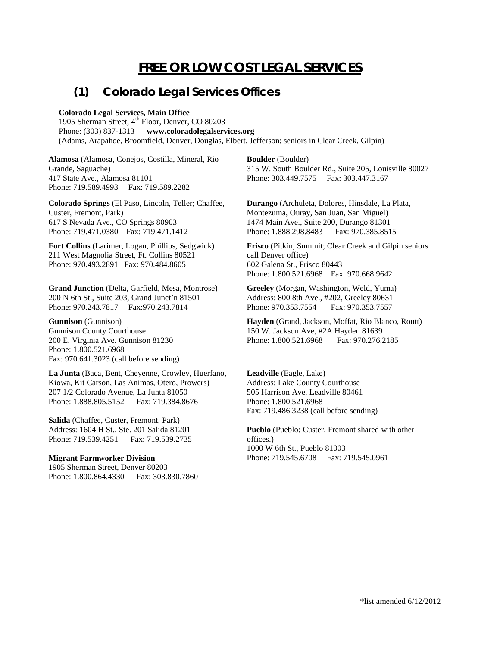# **FREE OR LOW COST LEGAL SERVICES**

# **(1) Colorado Legal Services Offices**

### **Colorado Legal Services, Main Office**

1905 Sherman Street, 4<sup>th</sup> Floor, Denver, CO 80203 Phone: (303) 837-1313 **[www.coloradolegalservices.org](http://www.coloradolegalservices.org/)** (Adams, Arapahoe, Broomfield, Denver, Douglas, Elbert, Jefferson; seniors in Clear Creek, Gilpin)

**Alamosa** (Alamosa, Conejos, Costilla, Mineral, Rio Grande, Saguache) 417 State Ave., Alamosa 81101 Phone: 719.589.4993 Fax: 719.589.2282

**Colorado Springs** (El Paso, Lincoln, Teller; Chaffee, Custer, Fremont, Park) 617 S Nevada Ave., CO Springs 80903 Phone: 719.471.0380 Fax: 719.471.1412

**Fort Collins** (Larimer, Logan, Phillips, Sedgwick) 211 West Magnolia Street, Ft. Collins 80521 Phone: 970.493.2891 Fax: 970.484.8605

**Grand Junction** (Delta, Garfield, Mesa, Montrose) 200 N 6th St., Suite 203, Grand Junct'n 81501 Phone: 970.243.7817 Fax: 970.243.7814

**Gunnison** (Gunnison) Gunnison County Courthouse 200 E. Virginia Ave. Gunnison 81230 Phone: 1.800.521.6968 Fax: 970.641.3023 (call before sending)

**La Junta** (Baca, Bent, Cheyenne, Crowley, Huerfano, Kiowa, Kit Carson, Las Animas, Otero, Prowers) 207 1/2 Colorado Avenue, La Junta 81050 Phone: 1.888.805.5152 Fax: 719.384.8676

**Salida** (Chaffee, Custer, Fremont, Park) Address: 1604 H St., Ste. 201 Salida 81201 Phone: 719.539.4251 Fax: 719.539.2735

#### **Migrant Farmworker Division** 1905 Sherman Street, Denver 80203

Phone: 1.800.864.4330 Fax: 303.830.7860

**Boulder** (Boulder) 315 W. South Boulder Rd., Suite 205, Louisville 80027 Phone: 303.449.7575 Fax: 303.447.3167

**Durango** (Archuleta, Dolores, Hinsdale, La Plata, Montezuma, Ouray, San Juan, San Miguel) 1474 Main Ave., Suite 200, Durango 81301 Phone: 1.888.298.8483

**Frisco** (Pitkin, Summit; Clear Creek and Gilpin seniors call Denver office) 602 Galena St., Frisco 80443 Phone: 1.800.521.6968 Fax: 970.668.9642

**Greeley** (Morgan, Washington, Weld, Yuma) Address: 800 8th Ave., #202, Greeley 80631 Phone: 970.353.7554 Fax: 970.353.7557

**Hayden** (Grand, Jackson, Moffat, Rio Blanco, Routt) 150 W. Jackson Ave, #2A Hayden 81639 Phone: 1.800.521.6968 Fax: 970.276.2185

**Leadville** (Eagle, Lake) Address: Lake County Courthouse 505 Harrison Ave. Leadville 80461 Phone: 1.800.521.6968 Fax: 719.486.3238 (call before sending)

**Pueblo** (Pueblo; Custer, Fremont shared with other offices.) 1000 W 6th St., Pueblo 81003 Phone: 719.545.6708 Fax: 719.545.0961